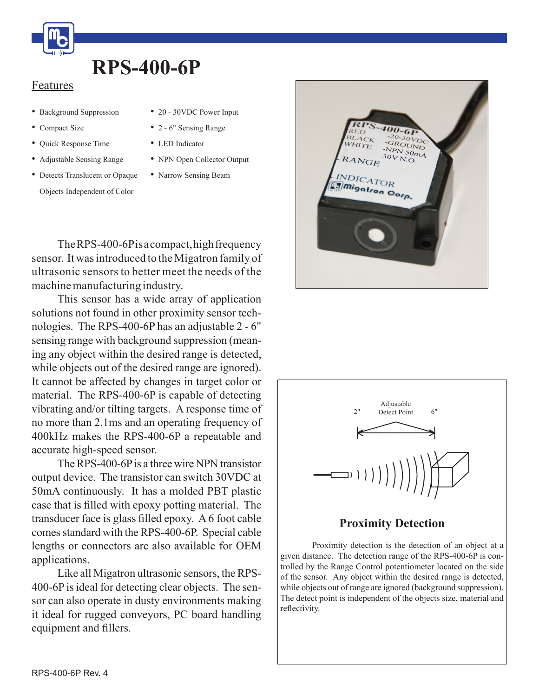

## **RPS-400-6P**

## Features

- Background Suppression
- Compact Size
- Ouick Response Time
- • Adjustable Sensing Range
- Detects Translucent or Opaque Objects Independent of Color
- 20 30VDC Power Input
- 2 6" Sensing Range
- LED Indicator
- NPN Open Collector Output
- Narrow Sensing Beam

The RPS-400-6P is a compact, high frequency sensor. It was introduced to the Migatron family of ultrasonic sensors to better meet the needs of the machine manufacturing industry.

 This sensor has a wide array of application solutions not found in other proximity sensor technologies. The RPS-400-6P has an adjustable 2 - 6" sensing range with background suppression (meaning any object within the desired range is detected, while objects out of the desired range are ignored). It cannot be affected by changes in target color or material. The RPS-400-6P is capable of detecting vibrating and/or tilting targets. A response time of no more than 2.1ms and an operating frequency of 400kHz makes the RPS-400-6P a repeatable and accurate high-speed sensor.

The RPS-400-6P is a three wire NPN transistor output device. The transistor can switch 30VDC at 50mA continuously. It has a molded PBT plastic case that is filled with epoxy potting material. The transducer face is glass filled epoxy. A 6 foot cable comes standard with the RPS-400-6P. Special cable lengths or connectors are also available for OEM applications.

 Like all Migatron ultrasonic sensors, the RPS-400-6P isideal for detecting clear objects. The sensor can also operate in dusty environments making it ideal for rugged conveyors, PC board handling equipment and fillers.





## **Proximity Detection**

 Proximity detection is the detection of an object at a given distance. The detection range of the RPS-400-6P is controlled by the Range Control potentiometer located on the side of the sensor. Any object within the desired range is detected, while objects out of range are ignored (background suppression). The detect point is independent of the objects size, material and reflectivity.